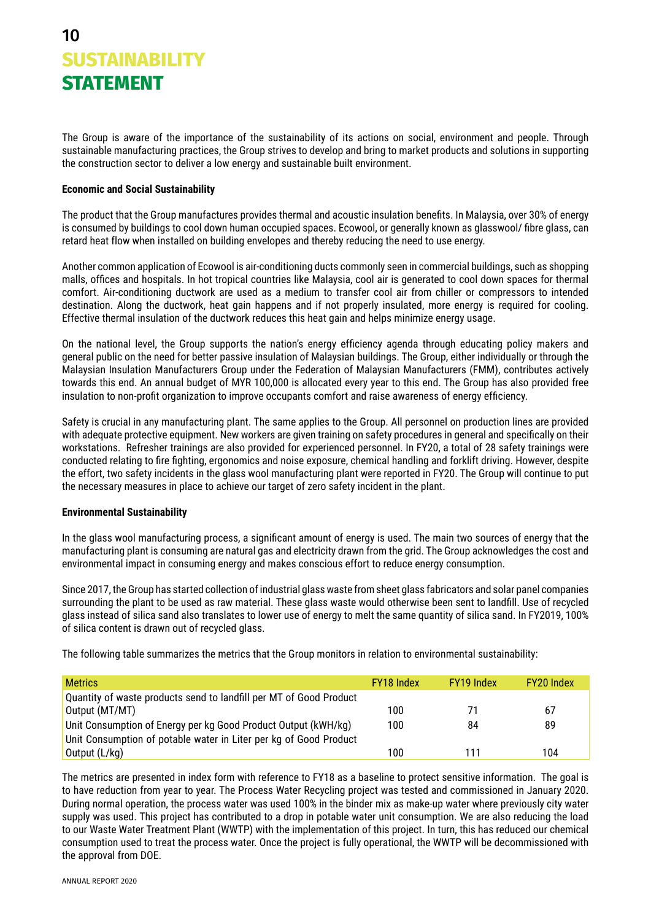The Group is aware of the importance of the sustainability of its actions on social, environment and people. Through sustainable manufacturing practices, the Group strives to develop and bring to market products and solutions in supporting the construction sector to deliver a low energy and sustainable built environment.

## **Economic and Social Sustainability**

The product that the Group manufactures provides thermal and acoustic insulation benefits. In Malaysia, over 30% of energy is consumed by buildings to cool down human occupied spaces. Ecowool, or generally known as glasswool/ fibre glass, can retard heat flow when installed on building envelopes and thereby reducing the need to use energy.

Another common application of Ecowool is air-conditioning ducts commonly seen in commercial buildings, such as shopping malls, offices and hospitals. In hot tropical countries like Malaysia, cool air is generated to cool down spaces for thermal comfort. Air-conditioning ductwork are used as a medium to transfer cool air from chiller or compressors to intended destination. Along the ductwork, heat gain happens and if not properly insulated, more energy is required for cooling. Effective thermal insulation of the ductwork reduces this heat gain and helps minimize energy usage.

On the national level, the Group supports the nation's energy efficiency agenda through educating policy makers and general public on the need for better passive insulation of Malaysian buildings. The Group, either individually or through the Malaysian Insulation Manufacturers Group under the Federation of Malaysian Manufacturers (FMM), contributes actively towards this end. An annual budget of MYR 100,000 is allocated every year to this end. The Group has also provided free insulation to non-profit organization to improve occupants comfort and raise awareness of energy efficiency.

Safety is crucial in any manufacturing plant. The same applies to the Group. All personnel on production lines are provided with adequate protective equipment. New workers are given training on safety procedures in general and specifically on their workstations. Refresher trainings are also provided for experienced personnel. In FY20, a total of 28 safety trainings were conducted relating to fire fighting, ergonomics and noise exposure, chemical handling and forklift driving. However, despite the effort, two safety incidents in the glass wool manufacturing plant were reported in FY20. The Group will continue to put the necessary measures in place to achieve our target of zero safety incident in the plant.

## **Environmental Sustainability**

In the glass wool manufacturing process, a significant amount of energy is used. The main two sources of energy that the manufacturing plant is consuming are natural gas and electricity drawn from the grid. The Group acknowledges the cost and environmental impact in consuming energy and makes conscious effort to reduce energy consumption.

Since 2017, the Group has started collection of industrial glass waste from sheet glass fabricators and solar panel companies surrounding the plant to be used as raw material. These glass waste would otherwise been sent to landfill. Use of recycled glass instead of silica sand also translates to lower use of energy to melt the same quantity of silica sand. In FY2019, 100% of silica content is drawn out of recycled glass.

The following table summarizes the metrics that the Group monitors in relation to environmental sustainability:

| <b>Metrics</b>                                                     | FY18 Index | FY19 Index | FY20 Index |
|--------------------------------------------------------------------|------------|------------|------------|
| Quantity of waste products send to landfill per MT of Good Product |            |            |            |
| Output (MT/MT)                                                     | 100        | 71         | 67         |
| Unit Consumption of Energy per kg Good Product Output (kWH/kg)     | 100        | 84         | 89         |
| Unit Consumption of potable water in Liter per kg of Good Product  |            |            |            |
| Output (L/kg)                                                      | 100        | 111        | 104        |

The metrics are presented in index form with reference to FY18 as a baseline to protect sensitive information. The goal is to have reduction from year to year. The Process Water Recycling project was tested and commissioned in January 2020. During normal operation, the process water was used 100% in the binder mix as make-up water where previously city water supply was used. This project has contributed to a drop in potable water unit consumption. We are also reducing the load to our Waste Water Treatment Plant (WWTP) with the implementation of this project. In turn, this has reduced our chemical consumption used to treat the process water. Once the project is fully operational, the WWTP will be decommissioned with the approval from DOE.